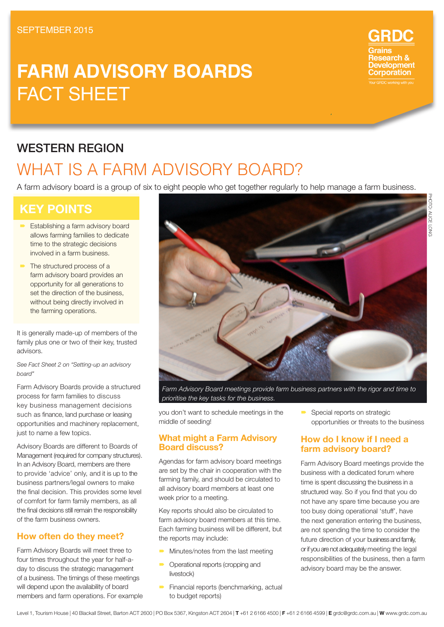# **FARM ADVISORY BOARDS** FACT SHEET

# WESTERN REGION

# WHAT IS A FARM ADVISORY BOARD?

A farm advisory board is a group of six to eight people who get together regularly to help manage a farm business.

# **KEY POINTS**

- **Establishing a farm advisory board** allows farming families to dedicate time to the strategic decisions involved in a farm business.
- The structured process of a farm advisory board provides an opportunity for all generations to set the direction of the business, without being directly involved in the farming operations.

It is generally made-up of members of the family plus one or two of their key, trusted advisors.

*See Fact Sheet 2 on "Setting-up an advisory board"*

Farm Advisory Boards provide a structured process for farm families to discuss key business management decisions such as finance, land purchase or leasing opportunities and machinery replacement, just to name a few topics.

Advisory Boards are different to Boards of Management (required for company structures). In an Advisory Board, members are there to provide 'advice' only, and it is up to the business partners/legal owners to make the final decision. This provides some level of comfort for farm family members, as all the final decisions still remain the responsibility of the farm business owners.

## **How often do they meet?**

Farm Advisory Boards will meet three to four times throughout the year for half-aday to discuss the strategic management of a business. The timings of these meetings will depend upon the availability of board members and farm operations. For example



*Farm Advisory Board meetings provide farm business partners with the rigor and time to prioritise the key tasks for the business.*

you don't want to schedule meetings in the middle of seeding!

### **What might a Farm Advisory Board discuss?**

Agendas for farm advisory board meetings are set by the chair in cooperation with the farming family, and should be circulated to all advisory board members at least one week prior to a meeting.

Key reports should also be circulated to farm advisory board members at this time. Each farming business will be different, but the reports may include:

- Minutes/notes from the last meeting Operational reports (cropping and
- livestock) **Financial reports (benchmarking, actual**

to budget reports)

Special reports on strategic opportunities or threats to the business

## **How do I know if I need a farm advisory board?**

Farm Advisory Board meetings provide the business with a dedicated forum where time is spent discussing the business in a structured way. So if you find that you do not have any spare time because you are too busy doing operational 'stuff', have the next generation entering the business, are not spending the time to consider the future direction of your business and family, or if you are not adequately meeting the legal responsibilities of the business, then a farm advisory board may be the answer.

**RDC** 

velopment orporation